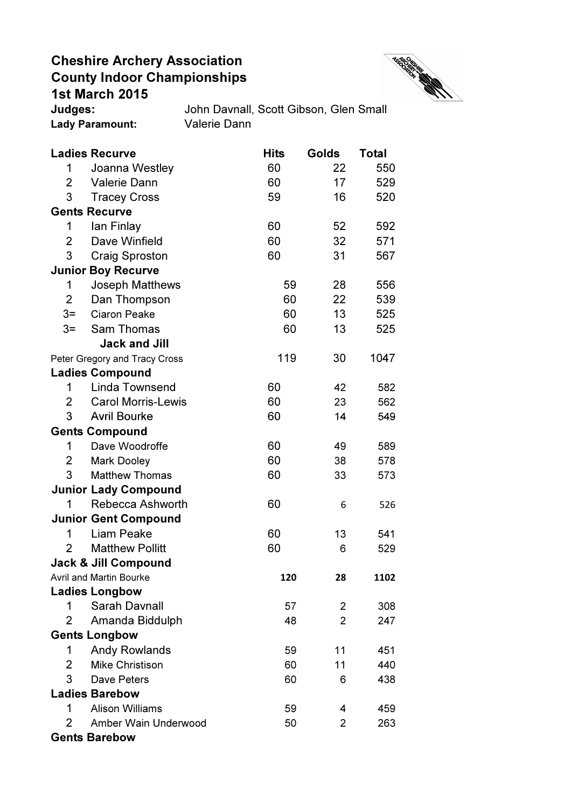## Cheshire Archery Association County Indoor Championships 1st March 2015



Cheshire Archery Association<br>
County Indoor Championships<br>
1st March 2015<br>
Judges: John Davnall, Scott Gibson, Glen Small<br>
Lady Paramount: Valerie Dann Lady Paramount:

| <b>Ladies Recurve</b>                       |                               | <b>Hits</b> | Golds          | <b>Total</b> |  |
|---------------------------------------------|-------------------------------|-------------|----------------|--------------|--|
| 1                                           | Joanna Westley                | 60          | 22             | 550          |  |
| $\overline{2}$                              | <b>Valerie Dann</b>           | 60          | 17             | 529          |  |
| 3                                           | <b>Tracey Cross</b>           | 59          | 16             | 520          |  |
|                                             | <b>Gents Recurve</b>          |             |                |              |  |
| 1                                           | lan Finlay                    | 60          | 52             | 592          |  |
| $\overline{2}$                              | Dave Winfield                 | 60          | 32             | 571          |  |
| 3                                           | <b>Craig Sproston</b>         | 60          | 31             | 567          |  |
|                                             | <b>Junior Boy Recurve</b>     |             |                |              |  |
| 1                                           | <b>Joseph Matthews</b>        | 59          | 28             | 556          |  |
| $\overline{2}$                              | Dan Thompson                  | 60          | 22             | 539          |  |
| $3=$                                        | <b>Ciaron Peake</b>           | 60          | 13             | 525          |  |
| $3=$                                        | <b>Sam Thomas</b>             | 60          | 13             | 525          |  |
|                                             | <b>Jack and Jill</b>          |             |                |              |  |
|                                             | Peter Gregory and Tracy Cross | 119         | 30             | 1047         |  |
|                                             | <b>Ladies Compound</b>        |             |                |              |  |
| 1                                           | <b>Linda Townsend</b>         | 60          | 42             | 582          |  |
| 2                                           | <b>Carol Morris-Lewis</b>     | 60          | 23             | 562          |  |
| 3                                           | <b>Avril Bourke</b>           | 60          | 14             | 549          |  |
|                                             | <b>Gents Compound</b>         |             |                |              |  |
| 1                                           | Dave Woodroffe                | 60          | 49             | 589          |  |
| 2                                           | <b>Mark Dooley</b>            | 60          | 38             | 578          |  |
| 3                                           | <b>Matthew Thomas</b>         | 60          | 33             | 573          |  |
|                                             | <b>Junior Lady Compound</b>   |             |                |              |  |
| 1                                           | Rebecca Ashworth              | 60          | 6              | 526          |  |
|                                             | <b>Junior Gent Compound</b>   |             |                |              |  |
| 1                                           | <b>Liam Peake</b>             | 60          | 13             | 541          |  |
| $\overline{2}$                              | <b>Matthew Pollitt</b>        | 60          | 6              | 529          |  |
| <b>Jack &amp; Jill Compound</b>             |                               |             |                |              |  |
| 28<br><b>Avril and Martin Bourke</b><br>120 |                               |             | 1102           |              |  |
|                                             | <b>Ladies Longbow</b>         |             |                |              |  |
| 1                                           | <b>Sarah Davnall</b>          | 57          | $\overline{2}$ | 308          |  |
| 2                                           | Amanda Biddulph               | 48          | $\overline{2}$ | 247          |  |
| <b>Gents Longbow</b>                        |                               |             |                |              |  |
| 1                                           | <b>Andy Rowlands</b>          | 59          | 11             | 451          |  |
| $\overline{2}$                              | <b>Mike Christison</b>        | 60          | 11             | 440          |  |
| 3                                           | Dave Peters                   | 60          | 6              | 438          |  |
| <b>Ladies Barebow</b>                       |                               |             |                |              |  |
| 1                                           | <b>Alison Williams</b>        | 59          | 4              | 459          |  |
| $\overline{2}$                              | Amber Wain Underwood          | 50          | 2              | 263          |  |
| <b>Gents Barebow</b>                        |                               |             |                |              |  |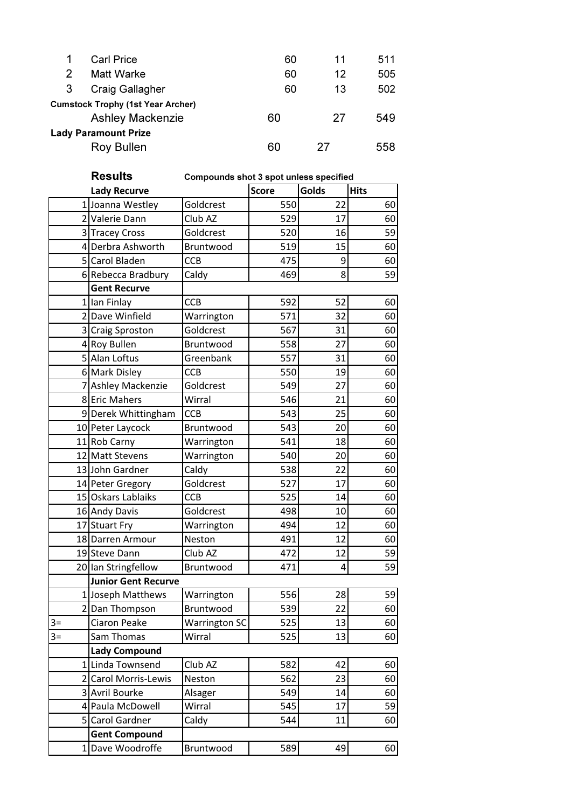| <b>Carl Price</b>                        | 60 | 11 | 511 |
|------------------------------------------|----|----|-----|
| Matt Warke                               | 60 | 12 | 505 |
| Craig Gallagher                          | 60 | 13 | 502 |
| <b>Cumstock Trophy (1st Year Archer)</b> |    |    |     |
| <b>Ashley Mackenzie</b>                  | 60 | 27 | 549 |
| <b>Lady Paramount Prize</b>              |    |    |     |
| <b>Roy Bullen</b>                        | 60 | 27 | 558 |

|      | <b>Results</b>             | Compounds shot 3 spot unless specified |              |       |             |  |
|------|----------------------------|----------------------------------------|--------------|-------|-------------|--|
|      | <b>Lady Recurve</b>        |                                        | <b>Score</b> | Golds | <b>Hits</b> |  |
|      | 1 Joanna Westley           | Goldcrest                              | 550          | 22    | 60          |  |
|      | 2 Valerie Dann             | Club AZ                                | 529          | 17    | 60          |  |
|      | 3 Tracey Cross             | Goldcrest                              | 520          | 16    | 59          |  |
|      | 4 Derbra Ashworth          | Bruntwood                              | 519          | 15    | 60          |  |
|      | 5 Carol Bladen             | <b>CCB</b>                             | 475          | 9     | 60          |  |
|      | 6 Rebecca Bradbury         | Caldy                                  | 469          | 8     | 59          |  |
|      | <b>Gent Recurve</b>        |                                        |              |       |             |  |
|      | 1 Ian Finlay               | <b>CCB</b>                             | 592          | 52    | 60          |  |
|      | 2 Dave Winfield            | Warrington                             | 571          | 32    | 60          |  |
|      | 3 Craig Sproston           | Goldcrest                              | 567          | 31    | 60          |  |
|      | 4 Roy Bullen               | Bruntwood                              | 558          | 27    | 60          |  |
|      | 5 Alan Loftus              | Greenbank                              | 557          | 31    | 60          |  |
|      | 6 Mark Disley              | CCB                                    | 550          | 19    | 60          |  |
|      | 7 Ashley Mackenzie         | Goldcrest                              | 549          | 27    | 60          |  |
|      | 8 Eric Mahers              | Wirral                                 | 546          | 21    | 60          |  |
|      | 9 Derek Whittingham        | <b>CCB</b>                             | 543          | 25    | 60          |  |
|      | 10 Peter Laycock           | Bruntwood                              | 543          | 20    | 60          |  |
|      | 11 Rob Carny               | Warrington                             | 541          | 18    | 60          |  |
|      | 12 Matt Stevens            | Warrington                             | 540          | 20    | 60          |  |
|      | 13 John Gardner            | Caldy                                  | 538          | 22    | 60          |  |
|      | 14 Peter Gregory           | Goldcrest                              | 527          | 17    | 60          |  |
|      | 15 Oskars Lablaiks         | <b>CCB</b>                             | 525          | 14    | 60          |  |
|      | 16 Andy Davis              | Goldcrest                              | 498          | 10    | 60          |  |
|      | 17 Stuart Fry              | Warrington                             | 494          | 12    | 60          |  |
|      | 18 Darren Armour           | Neston                                 | 491          | 12    | 60          |  |
|      | 19 Steve Dann              | Club AZ                                | 472          | 12    | 59          |  |
|      | 20 Ian Stringfellow        | Bruntwood                              | 471          | 4     | 59          |  |
|      | <b>Junior Gent Recurve</b> |                                        |              |       |             |  |
|      | 1 Joseph Matthews          | Warrington                             | 556          | 28    | 59          |  |
|      | 2 Dan Thompson             | Bruntwood                              | 539          | 22    | 60          |  |
| $3=$ | Ciaron Peake               | <b>Warrington SC</b>                   | 525          | 13    | 60          |  |
| $3=$ | Sam Thomas                 | Wirral                                 | 525          | 13    | 60          |  |
|      | <b>Lady Compound</b>       |                                        |              |       |             |  |
|      | 1 Linda Townsend           | Club AZ                                | 582          | 42    | 60          |  |
|      | 2 Carol Morris-Lewis       | Neston                                 | 562          | 23    | 60          |  |
|      | 3 Avril Bourke             | Alsager                                | 549          | 14    | 60          |  |
|      | 4 Paula McDowell           | Wirral                                 | 545          | 17    | 59          |  |
|      | 5 Carol Gardner            | Caldy                                  | 544          | 11    | 60          |  |
|      | <b>Gent Compound</b>       |                                        |              |       |             |  |
| 1    | Dave Woodroffe             | Bruntwood                              | 589          | 49    | 60          |  |